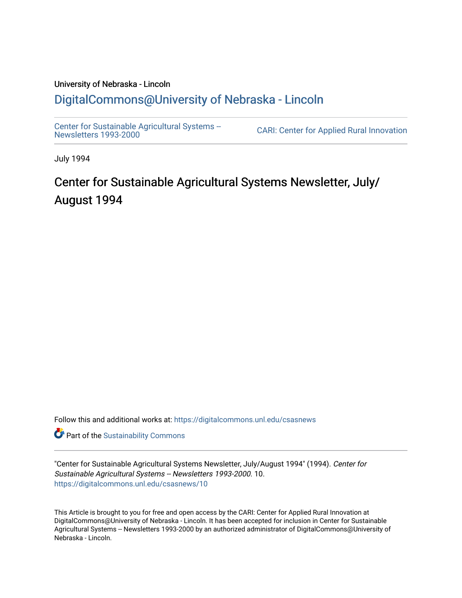# University of Nebraska - Lincoln [DigitalCommons@University of Nebraska - Lincoln](https://digitalcommons.unl.edu/)

[Center for Sustainable Agricultural Systems --](https://digitalcommons.unl.edu/csasnews)<br>Newsletters 1993-2000

CARI: Center for Applied Rural Innovation

July 1994

# Center for Sustainable Agricultural Systems Newsletter, July/ August 1994

Follow this and additional works at: [https://digitalcommons.unl.edu/csasnews](https://digitalcommons.unl.edu/csasnews?utm_source=digitalcommons.unl.edu%2Fcsasnews%2F10&utm_medium=PDF&utm_campaign=PDFCoverPages) 

**Part of the [Sustainability Commons](http://network.bepress.com/hgg/discipline/1031?utm_source=digitalcommons.unl.edu%2Fcsasnews%2F10&utm_medium=PDF&utm_campaign=PDFCoverPages)** 

"Center for Sustainable Agricultural Systems Newsletter, July/August 1994" (1994). Center for Sustainable Agricultural Systems -- Newsletters 1993-2000. 10. [https://digitalcommons.unl.edu/csasnews/10](https://digitalcommons.unl.edu/csasnews/10?utm_source=digitalcommons.unl.edu%2Fcsasnews%2F10&utm_medium=PDF&utm_campaign=PDFCoverPages) 

This Article is brought to you for free and open access by the CARI: Center for Applied Rural Innovation at DigitalCommons@University of Nebraska - Lincoln. It has been accepted for inclusion in Center for Sustainable Agricultural Systems -- Newsletters 1993-2000 by an authorized administrator of DigitalCommons@University of Nebraska - Lincoln.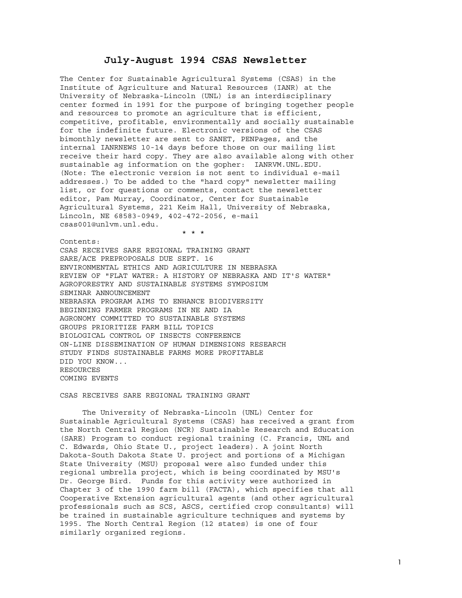# **July-August 1994 CSAS Newsletter**

The Center for Sustainable Agricultural Systems (CSAS) in the Institute of Agriculture and Natural Resources (IANR) at the University of Nebraska-Lincoln (UNL) is an interdisciplinary center formed in 1991 for the purpose of bringing together people and resources to promote an agriculture that is efficient, competitive, profitable, environmentally and socially sustainable for the indefinite future. Electronic versions of the CSAS bimonthly newsletter are sent to SANET, PENPages, and the internal IANRNEWS 10-14 days before those on our mailing list receive their hard copy. They are also available along with other sustainable ag information on the gopher: IANRVM.UNL.EDU. (Note: The electronic version is not sent to individual e-mail addresses.) To be added to the "hard copy" newsletter mailing list, or for questions or comments, contact the newsletter editor, Pam Murray, Coordinator, Center for Sustainable Agricultural Systems, 221 Keim Hall, University of Nebraska, Lincoln, NE 68583-0949, 402-472-2056, e-mail csas001@unlvm.unl.edu.

Contents: CSAS RECEIVES SARE REGIONAL TRAINING GRANT SARE/ACE PREPROPOSALS DUE SEPT. 16 ENVIRONMENTAL ETHICS AND AGRICULTURE IN NEBRASKA REVIEW OF "FLAT WATER: A HISTORY OF NEBRASKA AND IT'S WATER" AGROFORESTRY AND SUSTAINABLE SYSTEMS SYMPOSIUM SEMINAR ANNOUNCEMENT NEBRASKA PROGRAM AIMS TO ENHANCE BIODIVERSITY BEGINNING FARMER PROGRAMS IN NE AND IA AGRONOMY COMMITTED TO SUSTAINABLE SYSTEMS GROUPS PRIORITIZE FARM BILL TOPICS BIOLOGICAL CONTROL OF INSECTS CONFERENCE ON-LINE DISSEMINATION OF HUMAN DIMENSIONS RESEARCH STUDY FINDS SUSTAINABLE FARMS MORE PROFITABLE DID YOU KNOW... RESOURCES COMING EVENTS

# CSAS RECEIVES SARE REGIONAL TRAINING GRANT

\* \* \*

 The University of Nebraska-Lincoln (UNL) Center for Sustainable Agricultural Systems (CSAS) has received a grant from the North Central Region (NCR) Sustainable Research and Education (SARE) Program to conduct regional training (C. Francis, UNL and C. Edwards, Ohio State U., project leaders). A joint North Dakota-South Dakota State U. project and portions of a Michigan State University (MSU) proposal were also funded under this regional umbrella project, which is being coordinated by MSU's Dr. George Bird. Funds for this activity were authorized in Chapter 3 of the 1990 farm bill (FACTA), which specifies that all Cooperative Extension agricultural agents (and other agricultural professionals such as SCS, ASCS, certified crop consultants) will be trained in sustainable agriculture techniques and systems by 1995. The North Central Region (12 states) is one of four similarly organized regions.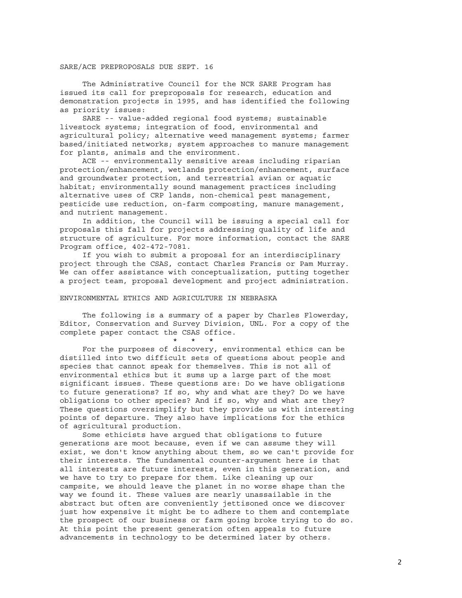#### SARE/ACE PREPROPOSALS DUE SEPT. 16

 The Administrative Council for the NCR SARE Program has issued its call for preproposals for research, education and demonstration projects in 1995, and has identified the following as priority issues:

 SARE -- value-added regional food systems; sustainable livestock systems; integration of food, environmental and agricultural policy; alternative weed management systems; farmer based/initiated networks; system approaches to manure management for plants, animals and the environment.

 ACE -- environmentally sensitive areas including riparian protection/enhancement, wetlands protection/enhancement, surface and groundwater protection, and terrestrial avian or aquatic habitat; environmentally sound management practices including alternative uses of CRP lands, non-chemical pest management, pesticide use reduction, on-farm composting, manure management, and nutrient management.

 In addition, the Council will be issuing a special call for proposals this fall for projects addressing quality of life and structure of agriculture. For more information, contact the SARE Program office, 402-472-7081.

 If you wish to submit a proposal for an interdisciplinary project through the CSAS, contact Charles Francis or Pam Murray. We can offer assistance with conceptualization, putting together a project team, proposal development and project administration.

## ENVIRONMENTAL ETHICS AND AGRICULTURE IN NEBRASKA

\* \* \*

 The following is a summary of a paper by Charles Flowerday, Editor, Conservation and Survey Division, UNL. For a copy of the complete paper contact the CSAS office.

 For the purposes of discovery, environmental ethics can be distilled into two difficult sets of questions about people and species that cannot speak for themselves. This is not all of environmental ethics but it sums up a large part of the most significant issues. These questions are: Do we have obligations to future generations? If so, why and what are they? Do we have obligations to other species? And if so, why and what are they? These questions oversimplify but they provide us with interesting points of departure. They also have implications for the ethics of agricultural production.

 Some ethicists have argued that obligations to future generations are moot because, even if we can assume they will exist, we don't know anything about them, so we can't provide for their interests. The fundamental counter-argument here is that all interests are future interests, even in this generation, and we have to try to prepare for them. Like cleaning up our campsite, we should leave the planet in no worse shape than the way we found it. These values are nearly unassailable in the abstract but often are conveniently jettisoned once we discover just how expensive it might be to adhere to them and contemplate the prospect of our business or farm going broke trying to do so. At this point the present generation often appeals to future advancements in technology to be determined later by others.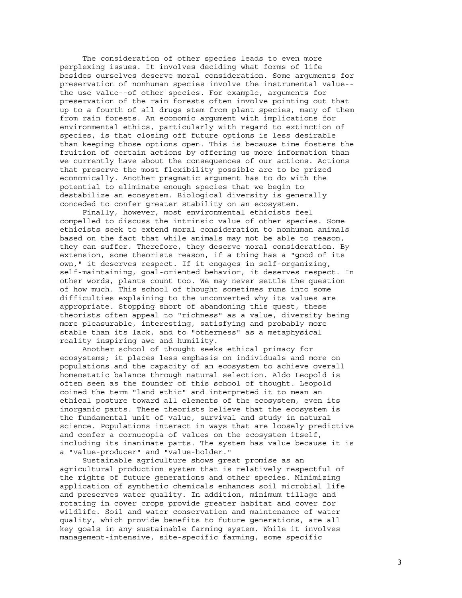The consideration of other species leads to even more perplexing issues. It involves deciding what forms of life besides ourselves deserve moral consideration. Some arguments for preservation of nonhuman species involve the instrumental value- the use value--of other species. For example, arguments for preservation of the rain forests often involve pointing out that up to a fourth of all drugs stem from plant species, many of them from rain forests. An economic argument with implications for environmental ethics, particularly with regard to extinction of species, is that closing off future options is less desirable than keeping those options open. This is because time fosters the fruition of certain actions by offering us more information than we currently have about the consequences of our actions. Actions that preserve the most flexibility possible are to be prized economically. Another pragmatic argument has to do with the potential to eliminate enough species that we begin to destabilize an ecosystem. Biological diversity is generally conceded to confer greater stability on an ecosystem.

 Finally, however, most environmental ethicists feel compelled to discuss the intrinsic value of other species. Some ethicists seek to extend moral consideration to nonhuman animals based on the fact that while animals may not be able to reason, they can suffer. Therefore, they deserve moral consideration. By extension, some theorists reason, if a thing has a "good of its own," it deserves respect. If it engages in self-organizing, self-maintaining, goal-oriented behavior, it deserves respect. In other words, plants count too. We may never settle the question of how much. This school of thought sometimes runs into some difficulties explaining to the unconverted why its values are appropriate. Stopping short of abandoning this quest, these theorists often appeal to "richness" as a value, diversity being more pleasurable, interesting, satisfying and probably more stable than its lack, and to "otherness" as a metaphysical reality inspiring awe and humility.

 Another school of thought seeks ethical primacy for ecosystems; it places less emphasis on individuals and more on populations and the capacity of an ecosystem to achieve overall homeostatic balance through natural selection. Aldo Leopold is often seen as the founder of this school of thought. Leopold coined the term "land ethic" and interpreted it to mean an ethical posture toward all elements of the ecosystem, even its inorganic parts. These theorists believe that the ecosystem is the fundamental unit of value, survival and study in natural science. Populations interact in ways that are loosely predictive and confer a cornucopia of values on the ecosystem itself, including its inanimate parts. The system has value because it is a "value-producer" and "value-holder."

 Sustainable agriculture shows great promise as an agricultural production system that is relatively respectful of the rights of future generations and other species. Minimizing application of synthetic chemicals enhances soil microbial life and preserves water quality. In addition, minimum tillage and rotating in cover crops provide greater habitat and cover for wildlife. Soil and water conservation and maintenance of water quality, which provide benefits to future generations, are all key goals in any sustainable farming system. While it involves management-intensive, site-specific farming, some specific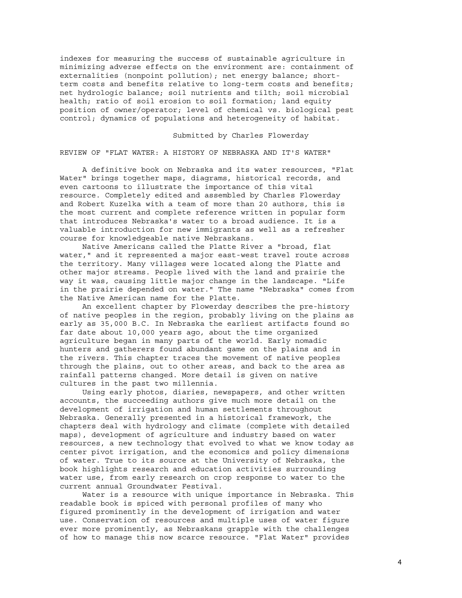indexes for measuring the success of sustainable agriculture in minimizing adverse effects on the environment are: containment of externalities (nonpoint pollution); net energy balance; shortterm costs and benefits relative to long-term costs and benefits; net hydrologic balance; soil nutrients and tilth; soil microbial health; ratio of soil erosion to soil formation; land equity position of owner/operator; level of chemical vs. biological pest control; dynamics of populations and heterogeneity of habitat.

Submitted by Charles Flowerday

REVIEW OF "FLAT WATER: A HISTORY OF NEBRASKA AND IT'S WATER"

 A definitive book on Nebraska and its water resources, "Flat Water" brings together maps, diagrams, historical records, and even cartoons to illustrate the importance of this vital resource. Completely edited and assembled by Charles Flowerday and Robert Kuzelka with a team of more than 20 authors, this is the most current and complete reference written in popular form that introduces Nebraska's water to a broad audience. It is a valuable introduction for new immigrants as well as a refresher course for knowledgeable native Nebraskans.

 Native Americans called the Platte River a "broad, flat water," and it represented a major east-west travel route across the territory. Many villages were located along the Platte and other major streams. People lived with the land and prairie the way it was, causing little major change in the landscape. "Life in the prairie depended on water." The name "Nebraska" comes from the Native American name for the Platte.

 An excellent chapter by Flowerday describes the pre-history of native peoples in the region, probably living on the plains as early as 35,000 B.C. In Nebraska the earliest artifacts found so far date about 10,000 years ago, about the time organized agriculture began in many parts of the world. Early nomadic hunters and gatherers found abundant game on the plains and in the rivers. This chapter traces the movement of native peoples through the plains, out to other areas, and back to the area as rainfall patterns changed. More detail is given on native cultures in the past two millennia.

 Using early photos, diaries, newspapers, and other written accounts, the succeeding authors give much more detail on the development of irrigation and human settlements throughout Nebraska. Generally presented in a historical framework, the chapters deal with hydrology and climate (complete with detailed maps), development of agriculture and industry based on water resources, a new technology that evolved to what we know today as center pivot irrigation, and the economics and policy dimensions of water. True to its source at the University of Nebraska, the book highlights research and education activities surrounding water use, from early research on crop response to water to the current annual Groundwater Festival.

 Water is a resource with unique importance in Nebraska. This readable book is spiced with personal profiles of many who figured prominently in the development of irrigation and water use. Conservation of resources and multiple uses of water figure ever more prominently, as Nebraskans grapple with the challenges of how to manage this now scarce resource. "Flat Water" provides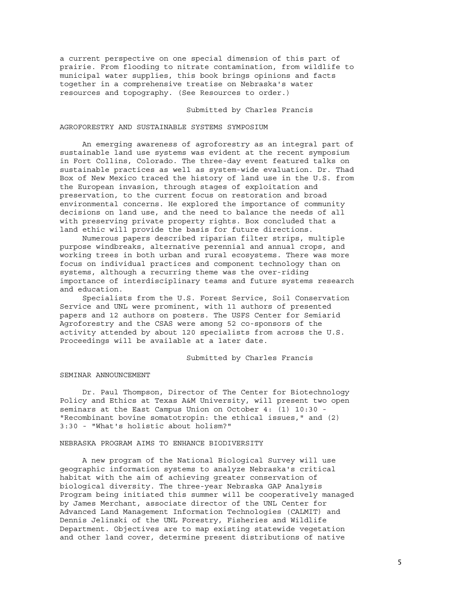a current perspective on one special dimension of this part of prairie. From flooding to nitrate contamination, from wildlife to municipal water supplies, this book brings opinions and facts together in a comprehensive treatise on Nebraska's water resources and topography. (See Resources to order.)

Submitted by Charles Francis

#### AGROFORESTRY AND SUSTAINABLE SYSTEMS SYMPOSIUM

 An emerging awareness of agroforestry as an integral part of sustainable land use systems was evident at the recent symposium in Fort Collins, Colorado. The three-day event featured talks on sustainable practices as well as system-wide evaluation. Dr. Thad Box of New Mexico traced the history of land use in the U.S. from the European invasion, through stages of exploitation and preservation, to the current focus on restoration and broad environmental concerns. He explored the importance of community decisions on land use, and the need to balance the needs of all with preserving private property rights. Box concluded that a land ethic will provide the basis for future directions.

 Numerous papers described riparian filter strips, multiple purpose windbreaks, alternative perennial and annual crops, and working trees in both urban and rural ecosystems. There was more focus on individual practices and component technology than on systems, although a recurring theme was the over-riding importance of interdisciplinary teams and future systems research and education.

 Specialists from the U.S. Forest Service, Soil Conservation Service and UNL were prominent, with 11 authors of presented papers and 12 authors on posters. The USFS Center for Semiarid Agroforestry and the CSAS were among 52 co-sponsors of the activity attended by about 120 specialists from across the U.S. Proceedings will be available at a later date.

# Submitted by Charles Francis

#### SEMINAR ANNOUNCEMENT

 Dr. Paul Thompson, Director of The Center for Biotechnology Policy and Ethics at Texas A&M University, will present two open seminars at the East Campus Union on October 4: (1) 10:30 - "Recombinant bovine somatotropin: the ethical issues," and (2) 3:30 - "What's holistic about holism?"

#### NEBRASKA PROGRAM AIMS TO ENHANCE BIODIVERSITY

 A new program of the National Biological Survey will use geographic information systems to analyze Nebraska's critical habitat with the aim of achieving greater conservation of biological diversity. The three-year Nebraska GAP Analysis Program being initiated this summer will be cooperatively managed by James Merchant, associate director of the UNL Center for Advanced Land Management Information Technologies (CALMIT) and Dennis Jelinski of the UNL Forestry, Fisheries and Wildlife Department. Objectives are to map existing statewide vegetation and other land cover, determine present distributions of native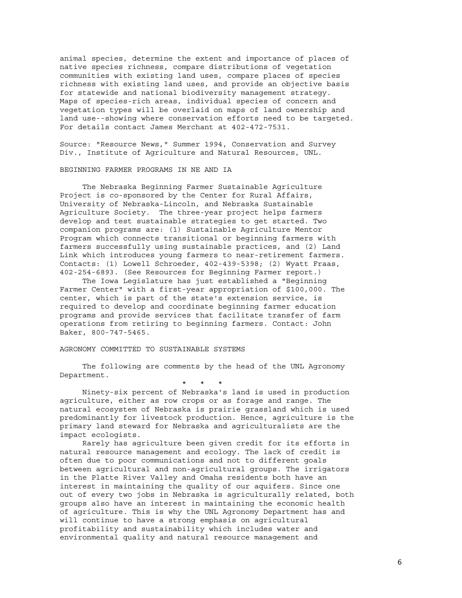animal species, determine the extent and importance of places of native species richness, compare distributions of vegetation communities with existing land uses, compare places of species richness with existing land uses, and provide an objective basis for statewide and national biodiversity management strategy. Maps of species-rich areas, individual species of concern and vegetation types will be overlaid on maps of land ownership and land use--showing where conservation efforts need to be targeted. For details contact James Merchant at 402-472-7531.

Source: "Resource News," Summer 1994, Conservation and Survey Div., Institute of Agriculture and Natural Resources, UNL.

## BEGINNING FARMER PROGRAMS IN NE AND IA

 The Nebraska Beginning Farmer Sustainable Agriculture Project is co-sponsored by the Center for Rural Affairs, University of Nebraska-Lincoln, and Nebraska Sustainable Agriculture Society. The three-year project helps farmers develop and test sustainable strategies to get started. Two companion programs are: (1) Sustainable Agriculture Mentor Program which connects transitional or beginning farmers with farmers successfully using sustainable practices, and (2) Land Link which introduces young farmers to near-retirement farmers. Contacts: (1) Lowell Schroeder, 402-439-5398; (2) Wyatt Fraas, 402-254-6893. (See Resources for Beginning Farmer report.)

 The Iowa Legislature has just established a "Beginning Farmer Center" with a first-year appropriation of \$100,000. The center, which is part of the state's extension service, is required to develop and coordinate beginning farmer education programs and provide services that facilitate transfer of farm operations from retiring to beginning farmers. Contact: John Baker, 800-747-5465.

# AGRONOMY COMMITTED TO SUSTAINABLE SYSTEMS

 The following are comments by the head of the UNL Agronomy Department.

 \* \* \* Ninety-six percent of Nebraska's land is used in production agriculture, either as row crops or as forage and range. The natural ecosystem of Nebraska is prairie grassland which is used predominantly for livestock production. Hence, agriculture is the primary land steward for Nebraska and agriculturalists are the impact ecologists.

 Rarely has agriculture been given credit for its efforts in natural resource management and ecology. The lack of credit is often due to poor communications and not to different goals between agricultural and non-agricultural groups. The irrigators in the Platte River Valley and Omaha residents both have an interest in maintaining the quality of our aquifers. Since one out of every two jobs in Nebraska is agriculturally related, both groups also have an interest in maintaining the economic health of agriculture. This is why the UNL Agronomy Department has and will continue to have a strong emphasis on agricultural profitability and sustainability which includes water and environmental quality and natural resource management and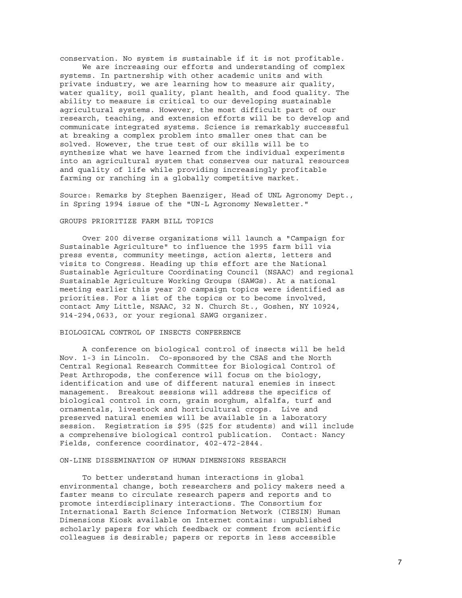conservation. No system is sustainable if it is not profitable.

 We are increasing our efforts and understanding of complex systems. In partnership with other academic units and with private industry, we are learning how to measure air quality, water quality, soil quality, plant health, and food quality. The ability to measure is critical to our developing sustainable agricultural systems. However, the most difficult part of our research, teaching, and extension efforts will be to develop and communicate integrated systems. Science is remarkably successful at breaking a complex problem into smaller ones that can be solved. However, the true test of our skills will be to synthesize what we have learned from the individual experiments into an agricultural system that conserves our natural resources and quality of life while providing increasingly profitable farming or ranching in a globally competitive market.

Source: Remarks by Stephen Baenziger, Head of UNL Agronomy Dept., in Spring 1994 issue of the "UN-L Agronomy Newsletter."

# GROUPS PRIORITIZE FARM BILL TOPICS

 Over 200 diverse organizations will launch a "Campaign for Sustainable Agriculture" to influence the 1995 farm bill via press events, community meetings, action alerts, letters and visits to Congress. Heading up this effort are the National Sustainable Agriculture Coordinating Council (NSAAC) and regional Sustainable Agriculture Working Groups (SAWGs). At a national meeting earlier this year 20 campaign topics were identified as priorities. For a list of the topics or to become involved, contact Amy Little, NSAAC, 32 N. Church St., Goshen, NY 10924, 914-294,0633, or your regional SAWG organizer.

# BIOLOGICAL CONTROL OF INSECTS CONFERENCE

 A conference on biological control of insects will be held Nov. 1-3 in Lincoln. Co-sponsored by the CSAS and the North Central Regional Research Committee for Biological Control of Pest Arthropods, the conference will focus on the biology, identification and use of different natural enemies in insect management. Breakout sessions will address the specifics of biological control in corn, grain sorghum, alfalfa, turf and ornamentals, livestock and horticultural crops. Live and preserved natural enemies will be available in a laboratory session. Registration is \$95 (\$25 for students) and will include a comprehensive biological control publication. Contact: Nancy Fields, conference coordinator, 402-472-2844.

#### ON-LINE DISSEMINATION OF HUMAN DIMENSIONS RESEARCH

 To better understand human interactions in global environmental change, both researchers and policy makers need a faster means to circulate research papers and reports and to promote interdisciplinary interactions. The Consortium for International Earth Science Information Network (CIESIN) Human Dimensions Kiosk available on Internet contains: unpublished scholarly papers for which feedback or comment from scientific colleagues is desirable; papers or reports in less accessible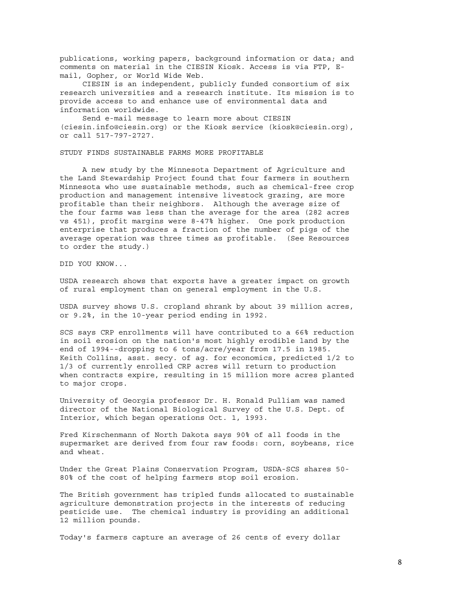publications, working papers, background information or data; and comments on material in the CIESIN Kiosk. Access is via FTP, Email, Gopher, or World Wide Web.

 CIESIN is an independent, publicly funded consortium of six research universities and a research institute. Its mission is to provide access to and enhance use of environmental data and information worldwide.

 Send e-mail message to learn more about CIESIN (ciesin.info@ciesin.org) or the Kiosk service (kiosk@ciesin.org), or call 517-797-2727.

STUDY FINDS SUSTAINABLE FARMS MORE PROFITABLE

 A new study by the Minnesota Department of Agriculture and the Land Stewardship Project found that four farmers in southern Minnesota who use sustainable methods, such as chemical-free crop production and management intensive livestock grazing, are more profitable than their neighbors. Although the average size of the four farms was less than the average for the area (282 acres vs 451), profit margins were 8-47% higher. One pork production enterprise that produces a fraction of the number of pigs of the average operation was three times as profitable. (See Resources to order the study.)

DID YOU KNOW...

USDA research shows that exports have a greater impact on growth of rural employment than on general employment in the U.S.

USDA survey shows U.S. cropland shrank by about 39 million acres, or 9.2%, in the 10-year period ending in 1992.

SCS says CRP enrollments will have contributed to a 66% reduction in soil erosion on the nation's most highly erodible land by the end of 1994--dropping to 6 tons/acre/year from 17.5 in 1985. Keith Collins, asst. secy. of ag. for economics, predicted 1/2 to 1/3 of currently enrolled CRP acres will return to production when contracts expire, resulting in 15 million more acres planted to major crops.

University of Georgia professor Dr. H. Ronald Pulliam was named director of the National Biological Survey of the U.S. Dept. of Interior, which began operations Oct. 1, 1993.

Fred Kirschenmann of North Dakota says 90% of all foods in the supermarket are derived from four raw foods: corn, soybeans, rice and wheat.

Under the Great Plains Conservation Program, USDA-SCS shares 50- 80% of the cost of helping farmers stop soil erosion.

The British government has tripled funds allocated to sustainable agriculture demonstration projects in the interests of reducing pesticide use. The chemical industry is providing an additional 12 million pounds.

Today's farmers capture an average of 26 cents of every dollar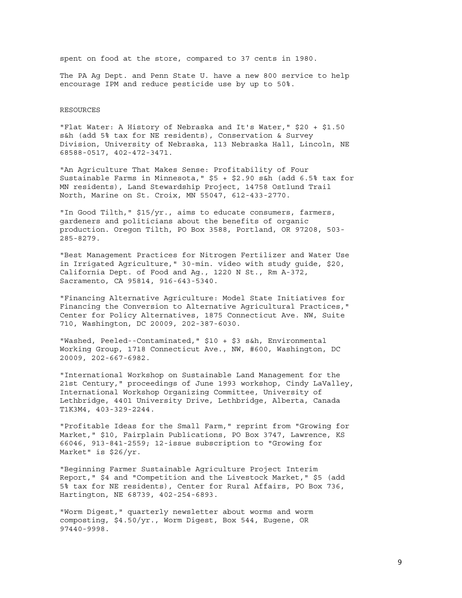spent on food at the store, compared to 37 cents in 1980.

The PA Ag Dept. and Penn State U. have a new 800 service to help encourage IPM and reduce pesticide use by up to 50%.

#### RESOURCES

"Flat Water: A History of Nebraska and It's Water," \$20 + \$1.50 s&h (add 5% tax for NE residents), Conservation & Survey Division, University of Nebraska, 113 Nebraska Hall, Lincoln, NE 68588-0517, 402-472-3471.

"An Agriculture That Makes Sense: Profitability of Four Sustainable Farms in Minnesota," \$5 + \$2.90 s&h (add 6.5% tax for MN residents), Land Stewardship Project, 14758 Ostlund Trail North, Marine on St. Croix, MN 55047, 612-433-2770.

"In Good Tilth," \$15/yr., aims to educate consumers, farmers, gardeners and politicians about the benefits of organic production. Oregon Tilth, PO Box 3588, Portland, OR 97208, 503- 285-8279.

"Best Management Practices for Nitrogen Fertilizer and Water Use in Irrigated Agriculture," 30-min. video with study guide, \$20, California Dept. of Food and Ag., 1220 N St., Rm A-372, Sacramento, CA 95814, 916-643-5340.

"Financing Alternative Agriculture: Model State Initiatives for Financing the Conversion to Alternative Agricultural Practices," Center for Policy Alternatives, 1875 Connecticut Ave. NW, Suite 710, Washington, DC 20009, 202-387-6030.

"Washed, Peeled--Contaminated," \$10 + \$3 s&h, Environmental Working Group, 1718 Connecticut Ave., NW, #600, Washington, DC 20009, 202-667-6982.

"International Workshop on Sustainable Land Management for the 21st Century," proceedings of June 1993 workshop, Cindy LaValley, International Workshop Organizing Committee, University of Lethbridge, 4401 University Drive, Lethbridge, Alberta, Canada T1K3M4, 403-329-2244.

"Profitable Ideas for the Small Farm," reprint from "Growing for Market," \$10, Fairplain Publications, PO Box 3747, Lawrence, KS 66046, 913-841-2559; 12-issue subscription to "Growing for Market" is \$26/yr.

"Beginning Farmer Sustainable Agriculture Project Interim Report," \$4 and "Competition and the Livestock Market," \$5 (add 5% tax for NE residents), Center for Rural Affairs, PO Box 736, Hartington, NE 68739, 402-254-6893.

"Worm Digest," quarterly newsletter about worms and worm composting, \$4.50/yr., Worm Digest, Box 544, Eugene, OR 97440-9998.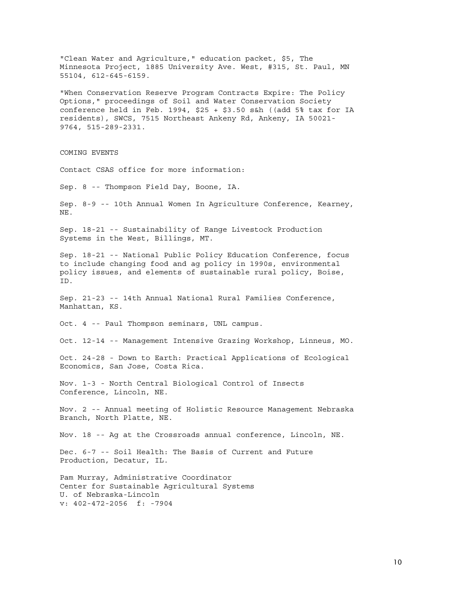"Clean Water and Agriculture," education packet, \$5, The Minnesota Project, 1885 University Ave. West, #315, St. Paul, MN 55104, 612-645-6159. "When Conservation Reserve Program Contracts Expire: The Policy Options," proceedings of Soil and Water Conservation Society conference held in Feb. 1994, \$25 + \$3.50  $s$ &h ((add 5% tax for IA residents), SWCS, 7515 Northeast Ankeny Rd, Ankeny, IA 50021- 9764, 515-289-2331. COMING EVENTS Contact CSAS office for more information: Sep. 8 -- Thompson Field Day, Boone, IA. Sep. 8-9 -- 10th Annual Women In Agriculture Conference, Kearney, NE. Sep. 18-21 -- Sustainability of Range Livestock Production Systems in the West, Billings, MT. Sep. 18-21 -- National Public Policy Education Conference, focus to include changing food and ag policy in 1990s, environmental policy issues, and elements of sustainable rural policy, Boise, ID. Sep. 21-23 -- 14th Annual National Rural Families Conference, Manhattan, KS. Oct. 4 -- Paul Thompson seminars, UNL campus. Oct. 12-14 -- Management Intensive Grazing Workshop, Linneus, MO. Oct. 24-28 - Down to Earth: Practical Applications of Ecological Economics, San Jose, Costa Rica. Nov. 1-3 - North Central Biological Control of Insects Conference, Lincoln, NE. Nov. 2 -- Annual meeting of Holistic Resource Management Nebraska Branch, North Platte, NE. Nov. 18 -- Ag at the Crossroads annual conference, Lincoln, NE. Dec. 6-7 -- Soil Health: The Basis of Current and Future Production, Decatur, IL. Pam Murray, Administrative Coordinator Center for Sustainable Agricultural Systems U. of Nebraska-Lincoln v: 402-472-2056 f: -7904